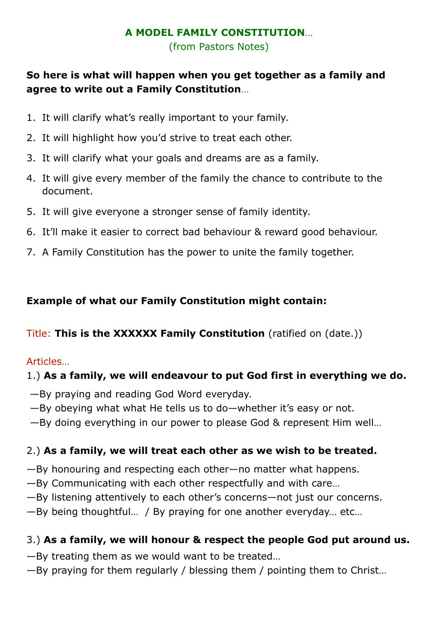#### **A MODEL FAMILY CONSTITUTION**…

(from Pastors Notes)

## **So here is what will happen when you get together as a family and agree to write out a Family Constitution**…

- 1. It will clarify what's really important to your family.
- 2. It will highlight how you'd strive to treat each other.
- 3. It will clarify what your goals and dreams are as a family.
- 4. It will give every member of the family the chance to contribute to the document.
- 5. It will give everyone a stronger sense of family identity.
- 6. It'll make it easier to correct bad behaviour & reward good behaviour.
- 7. A Family Constitution has the power to unite the family together.

## **Example of what our Family Constitution might contain:**

### Title: **This is the XXXXXX Family Constitution** (ratified on (date.))

### Articles…

## 1.) **As a family, we will endeavour to put God first in everything we do.**

- —By praying and reading God Word everyday.
- —By obeying what what He tells us to do—whether it's easy or not.
- —By doing everything in our power to please God & represent Him well…

## 2.) **As a family, we will treat each other as we wish to be treated.**

- —By honouring and respecting each other—no matter what happens.
- —By Communicating with each other respectfully and with care…
- —By listening attentively to each other's concerns—not just our concerns.
- —By being thoughtful… / By praying for one another everyday… etc…

# 3.) **As a family, we will honour & respect the people God put around us.**

- —By treating them as we would want to be treated…
- —By praying for them regularly / blessing them / pointing them to Christ…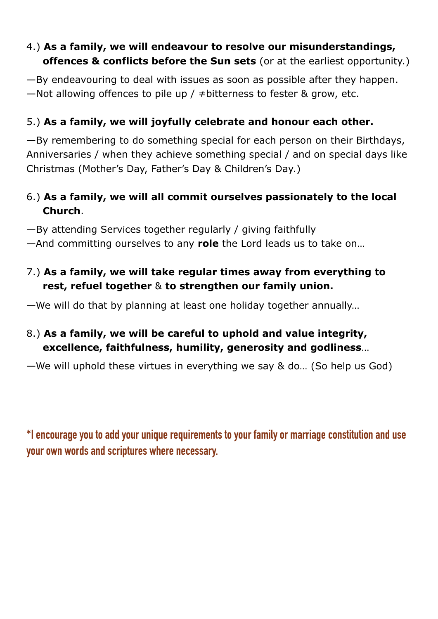### 4.) **As a family, we will endeavour to resolve our misunderstandings, offences & conflicts before the Sun sets** (or at the earliest opportunity.)

—By endeavouring to deal with issues as soon as possible after they happen. —Not allowing offences to pile up /  $\neq$  bitterness to fester & grow, etc.

## 5.) **As a family, we will joyfully celebrate and honour each other.**

—By remembering to do something special for each person on their Birthdays, Anniversaries / when they achieve something special / and on special days like Christmas (Mother's Day, Father's Day & Children's Day.)

## 6.) **As a family, we will all commit ourselves passionately to the local Church**.

—By attending Services together regularly / giving faithfully

—And committing ourselves to any **role** the Lord leads us to take on…

## 7.) **As a family, we will take regular times away from everything to rest, refuel together** & **to strengthen our family union.**

—We will do that by planning at least one holiday together annually…

## 8.) **As a family, we will be careful to uphold and value integrity, excellence, faithfulness, humility, generosity and godliness**…

—We will uphold these virtues in everything we say & do… (So help us God)

**\*I encourage you to add your unique requirements to your family or marriage constitution and use your own words and scriptures where necessary.**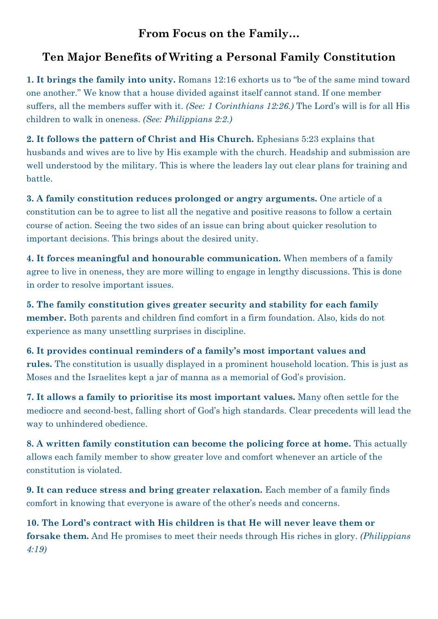## **From Focus on the Family…**

# **Ten Major Benefits of Writing a Personal Family Constitution**

**1. It brings the family into unity.** [Romans 12:16](https://www.biblegateway.com/passage/?search=Romans%2012:16&version=ESV&src=tools) exhorts us to "be of the same mind toward one another." We know that a house divided against itself cannot stand. If one member suffers, all the members suffer with it. *(See: [1 Corinthians 12:26.](https://www.biblegateway.com/passage/?search=1%20Corinthians%2012:26&version=ESV&src=tools))* The Lord's will is for all His children to walk in oneness. *(See: [Philippians 2:2](https://www.biblegateway.com/passage/?search=Philippians%202:2&version=ESV&src=tools).)*

**2. It follows the pattern of Christ and His Church.** [Ephesians 5:23](https://www.biblegateway.com/passage/?search=Ephesians%205:23&version=ESV&src=tools) explains that husbands and wives are to live by His example with the church. Headship and submission are well understood by the military. This is where the leaders lay out clear plans for training and battle.

**3. A family constitution reduces prolonged or angry arguments.** One article of a constitution can be to agree to list all the negative and positive reasons to follow a certain course of action. Seeing the two sides of an issue can bring about quicker resolution to important decisions. This brings about the desired unity.

**4. It forces meaningful and honourable communication.** When members of a family agree to live in oneness, they are more willing to engage in lengthy discussions. This is done in order to resolve important issues.

**5. The family constitution gives greater security and stability for each family member.** Both parents and children find comfort in a firm foundation. Also, kids do not experience as many unsettling surprises in discipline.

**6. It provides continual reminders of a family's most important values and rules.** The constitution is usually displayed in a prominent household location. This is just as Moses and the Israelites kept a jar of manna as a memorial of God's provision.

**7. It allows a family to prioritise its most important values.** Many often settle for the mediocre and second-best, falling short of God's high standards. Clear precedents will lead the way to unhindered obedience.

**8. A written family constitution can become the policing force at home.** This actually allows each family member to show greater love and comfort whenever an article of the constitution is violated.

**9. It can reduce stress and bring greater relaxation.** Each member of a family finds comfort in knowing that everyone is aware of the other's needs and concerns.

**10. The Lord's contract with His children is that He will never leave them or forsake them.** And He promises to meet their needs through His riches in glory. *([Philippians](https://www.biblegateway.com/passage/?search=Philippians%204:19&version=ESV&src=tools)  [4:19](https://www.biblegateway.com/passage/?search=Philippians%204:19&version=ESV&src=tools))*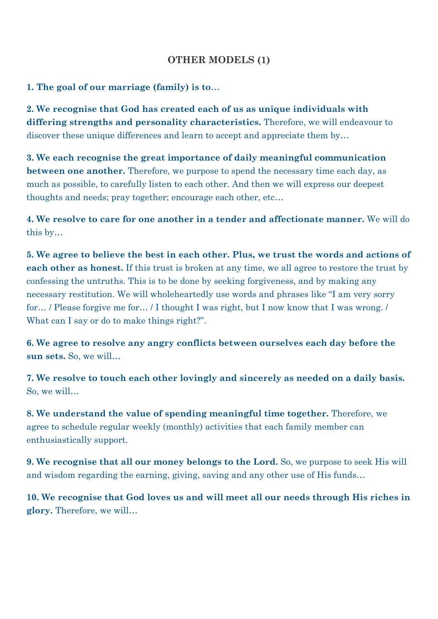#### **OTHER MODELS (1)**

#### **1. The goal of our marriage (family) is to**…

**2. We recognise that God has created each of us as unique individuals with differing strengths and personality characteristics.** Therefore, we will endeavour to discover these unique differences and learn to accept and appreciate them by...

**3. We each recognise the great importance of daily meaningful communication between one another.** Therefore, we purpose to spend the necessary time each day, as much as possible, to carefully listen to each other. And then we will express our deepest thoughts and needs; pray together; encourage each other, etc…

**4. We resolve to care for one another in a tender and affectionate manner.** We will do this by…

**5. We agree to believe the best in each other. Plus, we trust the words and actions of each other as honest.** If this trust is broken at any time, we all agree to restore the trust by confessing the untruths. This is to be done by seeking forgiveness, and by making any necessary restitution. We will wholeheartedly use words and phrases like "I am very sorry for… / Please forgive me for… / I thought I was right, but I now know that I was wrong. / What can I say or do to make things right?".

**6. We agree to resolve any angry conflicts between ourselves each day before the sun sets.** So, we will…

**7. We resolve to touch each other lovingly and sincerely as needed on a daily basis.**  So, we will…

**8. We understand the value of spending meaningful time together.** Therefore, we agree to schedule regular weekly (monthly) activities that each family member can enthusiastically support.

**9. We recognise that all our money belongs to the Lord.** So, we purpose to seek His will and wisdom regarding the earning, giving, saving and any other use of His funds…

**10. We recognise that God loves us and will meet all our needs through His riches in glory.** Therefore, we will…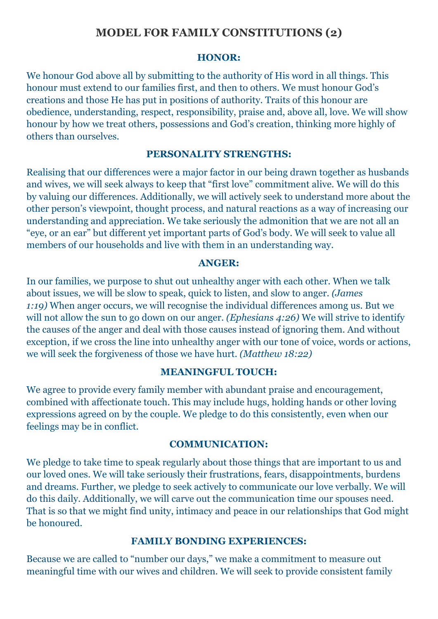### **MODEL FOR FAMILY CONSTITUTIONS (2)**

#### **HONOR:**

We honour God above all by submitting to the authority of His word in all things. This honour must extend to our families first, and then to others. We must honour God's creations and those He has put in positions of authority. Traits of this honour are obedience, understanding, respect, responsibility, praise and, above all, love. We will show honour by how we treat others, possessions and God's creation, thinking more highly of others than ourselves.

#### **PERSONALITY STRENGTHS:**

Realising that our differences were a major factor in our being drawn together as husbands and wives, we will seek always to keep that "first love" commitment alive. We will do this by valuing our differences. Additionally, we will actively seek to understand more about the other person's viewpoint, thought process, and natural reactions as a way of increasing our understanding and appreciation. We take seriously the admonition that we are not all an "eye, or an ear" but different yet important parts of God's body. We will seek to value all members of our households and live with them in an understanding way.

#### **ANGER:**

In our families, we purpose to shut out unhealthy anger with each other. When we talk about issues, we will be slow to speak, quick to listen, and slow to anger. *([James](https://www.biblegateway.com/passage/?search=James%201:19&version=ESV&src=tools)  [1:19\)](https://www.biblegateway.com/passage/?search=James%201:19&version=ESV&src=tools)* When anger occurs, we will recognise the individual differences among us. But we will not allow the sun to go down on our anger. *[\(Ephesians 4:26](https://www.biblegateway.com/passage/?search=Ephesians%204:26&version=ESV&src=tools))* We will strive to identify the causes of the anger and deal with those causes instead of ignoring them. And without exception, if we cross the line into unhealthy anger with our tone of voice, words or actions, we will seek the forgiveness of those we have hurt. *([Matthew 18:22](https://www.biblegateway.com/passage/?search=Matthew%2018:22&version=ESV&src=tools))*

#### **MEANINGFUL TOUCH:**

We agree to provide every family member with abundant praise and encouragement, combined with affectionate touch. This may include hugs, holding hands or other loving expressions agreed on by the couple. We pledge to do this consistently, even when our feelings may be in conflict.

#### **COMMUNICATION:**

We pledge to take time to speak regularly about those things that are important to us and our loved ones. We will take seriously their frustrations, fears, disappointments, burdens and dreams. Further, we pledge to seek actively to communicate our love verbally. We will do this daily. Additionally, we will carve out the communication time our spouses need. That is so that we might find unity, intimacy and peace in our relationships that God might be honoured.

#### **FAMILY BONDING EXPERIENCES:**

Because we are called to "number our days," we make a commitment to measure out meaningful time with our wives and children. We will seek to provide consistent family